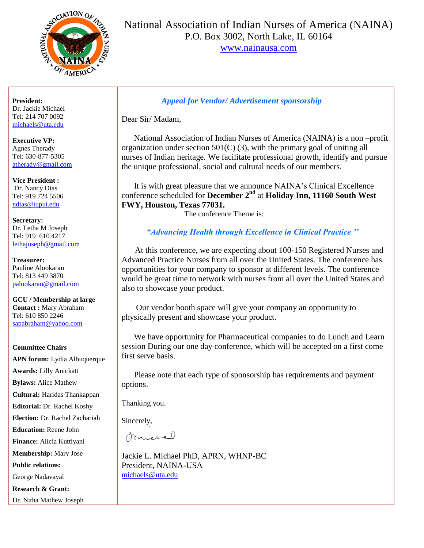

National Association of Indian Nurses of America (NAINA) P.O. Box 3002, North Lake, IL 60164

[www.nainausa.com](http://www.nainausa.com/)

**President:** Dr. Jackie Michael Tel: 214 707 0092 [michaels@uta.edu](mailto:michaels@uta.edu)

**Executive VP:** Agnes Therady Tel: 630-877-5305 [atherady@gmail.com](mailto:michaels@uta.edu)

**Vice President :** Dr. Nancy Dias Tel: 919 724 5506 [ndias@iupui.edu](mailto:ndias@iupui.edu)

**Secretary:** Dr. Letha M Joseph Tel: 919 610 4217 [lethajoseph@gmail.com](mailto:sapabraham@yahoo.com)

**Treasurer:** Pauline Alookaran Tel: 813 449 3870 [palookaran@gmail.com](mailto:Mkoshy49@gmail.com)

**GCU / Membership at large Contact :** Mary Abraham Tel: 610 850 2246 [sapabraham@yahoo.com](mailto:sapabraham@yahoo.com)

#### **Committee Chairs**

**APN forum:** Lydia Albuquerque **Awards:** Lilly Anickatt **Bylaws:** Alice Mathew **Cultural:** Haridas Thankappan **Editorial:** Dr. Rachel Koshy **Election:** Dr. Rachel Zachariah **Education:** Reene John **Finance:** Alicia Kuttiyani **Membership:** Mary Jose **Public relations:**  George Nadavayal **Research & Grant:** Dr. Nitha Mathew Joseph

### *Appeal for Vendor/ Advertisement sponsorship*

Dear Sir/ Madam,

 National Association of Indian Nurses of America (NAINA) is a non –profit organization under section  $501(C)$  (3), with the primary goal of uniting all nurses of Indian heritage. We facilitate professional growth, identify and pursue the unique professional, social and cultural needs of our members.

 It is with great pleasure that we announce NAINA's Clinical Excellence conference scheduled for **December 2nd** at **Holiday Inn, 11160 South West FWY, Houston, Texas 77031.**

The conference Theme is:

### *"Advancing Health through Excellence in Clinical Practice ''*

 At this conference, we are expecting about 100-150 Registered Nurses and Advanced Practice Nurses from all over the United States. The conference has opportunities for your company to sponsor at different levels. The conference would be great time to network with nurses from all over the United States and also to showcase your product.

 Our vendor booth space will give your company an opportunity to physically present and showcase your product.

 We have opportunity for Pharmaceutical companies to do Lunch and Learn session During our one day conference, which will be accepted on a first come first serve basis.

 Please note that each type of sponsorship has requirements and payment options.

Thanking you.

Sincerely,

mortal

Jackie L. Michael PhD, APRN, WHNP-BC President, NAINA-USA [michaels@uta.edu](mailto:michaels@uta.edu)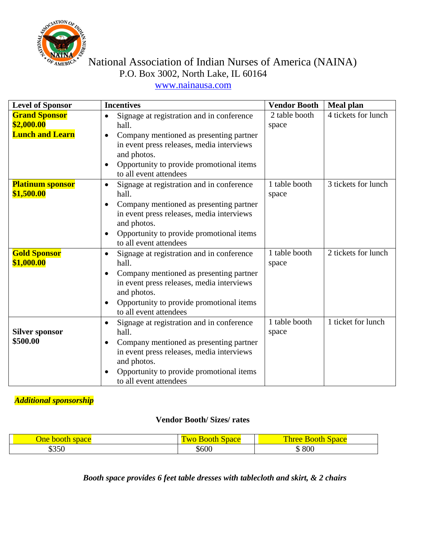

# $\lim_{\text{AMERCC}}$  National Association of Indian Nurses of America (NAINA) P.O. Box 3002, North Lake, IL 60164

## [www.nainausa.com](http://www.nainausa.com/)

| <b>Level of Sponsor</b>                                      | <b>Incentives</b>                                                                                                                                                                                                                            | <b>Vendor Booth</b>    | <b>Meal plan</b>    |  |
|--------------------------------------------------------------|----------------------------------------------------------------------------------------------------------------------------------------------------------------------------------------------------------------------------------------------|------------------------|---------------------|--|
| <b>Grand Sponsor</b><br>\$2,000.00<br><b>Lunch and Learn</b> | Signage at registration and in conference<br>$\bullet$<br>hall.<br>Company mentioned as presenting partner<br>in event press releases, media interviews<br>and photos.<br>Opportunity to provide promotional items<br>to all event attendees | 2 table booth<br>space | 4 tickets for lunch |  |
| <b>Platinum sponsor</b><br>\$1,500.00                        | Signage at registration and in conference<br>$\bullet$<br>hall.<br>Company mentioned as presenting partner<br>in event press releases, media interviews<br>and photos.<br>Opportunity to provide promotional items<br>to all event attendees | 1 table booth<br>space | 3 tickets for lunch |  |
| <b>Gold Sponsor</b><br>\$1,000.00                            | Signage at registration and in conference<br>hall.<br>Company mentioned as presenting partner<br>in event press releases, media interviews<br>and photos.<br>Opportunity to provide promotional items<br>to all event attendees              | 1 table booth<br>space | 2 tickets for lunch |  |
| <b>Silver sponsor</b><br>\$500.00                            | Signage at registration and in conference<br>$\bullet$<br>hall.<br>Company mentioned as presenting partner<br>in event press releases, media interviews<br>and photos.<br>Opportunity to provide promotional items<br>to all event attendees | 1 table booth<br>space | 1 ticket for lunch  |  |

### *Additional sponsorship*

### **Vendor Booth/ Sizes/ rates**

| <i>ne</i><br><b>boot</b><br>sdace | —<br>$\overline{M}$<br>$\Box$ Dacc<br>оп | m<br><b>Space</b><br><b>Three</b><br>ш<br>D |
|-----------------------------------|------------------------------------------|---------------------------------------------|
| 0.000<br>აპას                     | \$600                                    | 800<br>ιυ                                   |

*Booth space provides 6 feet table dresses with tablecloth and skirt, & 2 chairs*